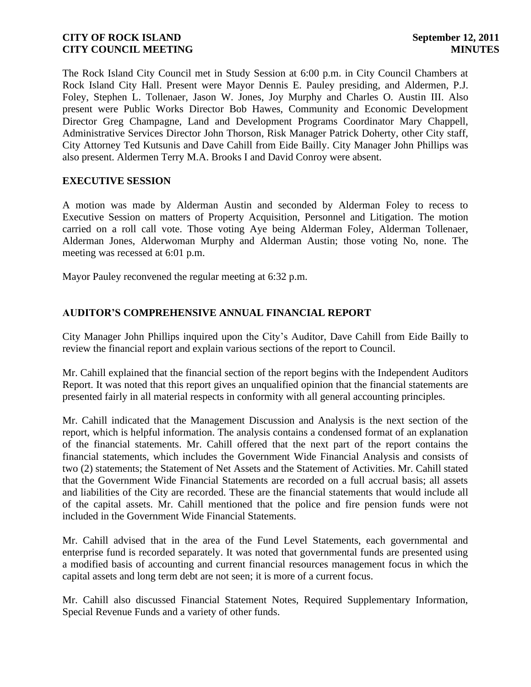The Rock Island City Council met in Study Session at 6:00 p.m. in City Council Chambers at Rock Island City Hall. Present were Mayor Dennis E. Pauley presiding, and Aldermen, P.J. Foley, Stephen L. Tollenaer, Jason W. Jones, Joy Murphy and Charles O. Austin III. Also present were Public Works Director Bob Hawes, Community and Economic Development Director Greg Champagne, Land and Development Programs Coordinator Mary Chappell, Administrative Services Director John Thorson, Risk Manager Patrick Doherty, other City staff, City Attorney Ted Kutsunis and Dave Cahill from Eide Bailly. City Manager John Phillips was also present. Aldermen Terry M.A. Brooks I and David Conroy were absent.

# **EXECUTIVE SESSION**

A motion was made by Alderman Austin and seconded by Alderman Foley to recess to Executive Session on matters of Property Acquisition, Personnel and Litigation. The motion carried on a roll call vote. Those voting Aye being Alderman Foley, Alderman Tollenaer, Alderman Jones, Alderwoman Murphy and Alderman Austin; those voting No, none. The meeting was recessed at 6:01 p.m.

Mayor Pauley reconvened the regular meeting at 6:32 p.m.

# **AUDITOR'S COMPREHENSIVE ANNUAL FINANCIAL REPORT**

City Manager John Phillips inquired upon the City's Auditor, Dave Cahill from Eide Bailly to review the financial report and explain various sections of the report to Council.

Mr. Cahill explained that the financial section of the report begins with the Independent Auditors Report. It was noted that this report gives an unqualified opinion that the financial statements are presented fairly in all material respects in conformity with all general accounting principles.

Mr. Cahill indicated that the Management Discussion and Analysis is the next section of the report, which is helpful information. The analysis contains a condensed format of an explanation of the financial statements. Mr. Cahill offered that the next part of the report contains the financial statements, which includes the Government Wide Financial Analysis and consists of two (2) statements; the Statement of Net Assets and the Statement of Activities. Mr. Cahill stated that the Government Wide Financial Statements are recorded on a full accrual basis; all assets and liabilities of the City are recorded. These are the financial statements that would include all of the capital assets. Mr. Cahill mentioned that the police and fire pension funds were not included in the Government Wide Financial Statements.

Mr. Cahill advised that in the area of the Fund Level Statements, each governmental and enterprise fund is recorded separately. It was noted that governmental funds are presented using a modified basis of accounting and current financial resources management focus in which the capital assets and long term debt are not seen; it is more of a current focus.

Mr. Cahill also discussed Financial Statement Notes, Required Supplementary Information, Special Revenue Funds and a variety of other funds.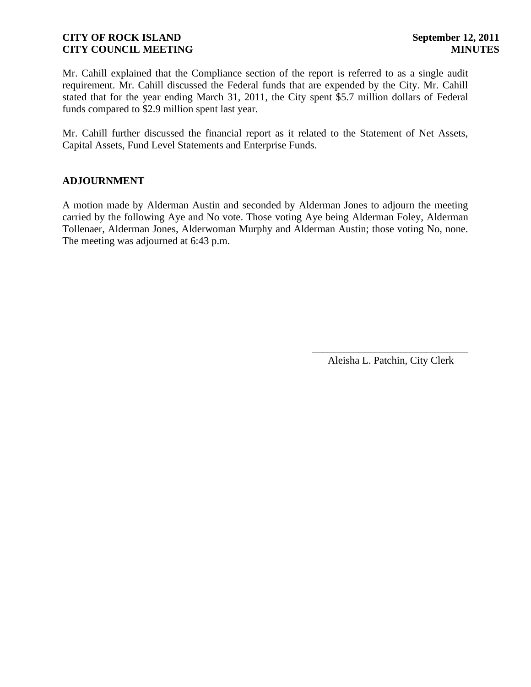Mr. Cahill explained that the Compliance section of the report is referred to as a single audit requirement. Mr. Cahill discussed the Federal funds that are expended by the City. Mr. Cahill stated that for the year ending March 31, 2011, the City spent \$5.7 million dollars of Federal funds compared to \$2.9 million spent last year.

Mr. Cahill further discussed the financial report as it related to the Statement of Net Assets, Capital Assets, Fund Level Statements and Enterprise Funds.

### **ADJOURNMENT**

A motion made by Alderman Austin and seconded by Alderman Jones to adjourn the meeting carried by the following Aye and No vote. Those voting Aye being Alderman Foley, Alderman Tollenaer, Alderman Jones, Alderwoman Murphy and Alderman Austin; those voting No, none. The meeting was adjourned at 6:43 p.m.

> \_\_\_\_\_\_\_\_\_\_\_\_\_\_\_\_\_\_\_\_\_\_\_\_\_\_\_\_\_\_ Aleisha L. Patchin, City Clerk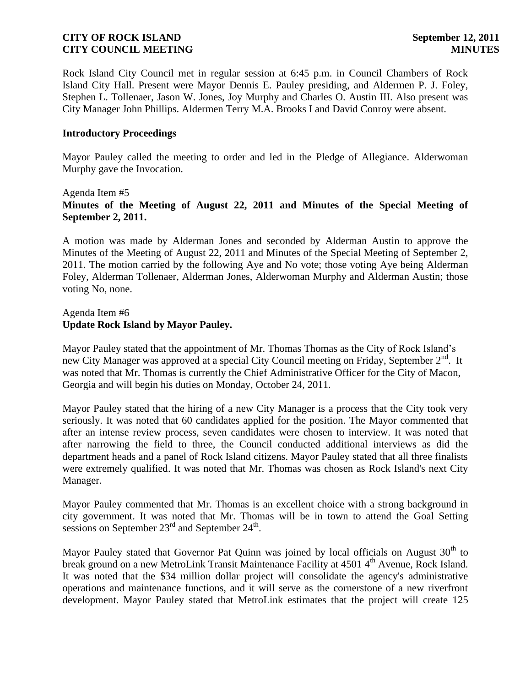Rock Island City Council met in regular session at 6:45 p.m. in Council Chambers of Rock Island City Hall. Present were Mayor Dennis E. Pauley presiding, and Aldermen P. J. Foley, Stephen L. Tollenaer, Jason W. Jones, Joy Murphy and Charles O. Austin III. Also present was City Manager John Phillips. Aldermen Terry M.A. Brooks I and David Conroy were absent.

### **Introductory Proceedings**

Mayor Pauley called the meeting to order and led in the Pledge of Allegiance. Alderwoman Murphy gave the Invocation.

# Agenda Item #5 **Minutes of the Meeting of August 22, 2011 and Minutes of the Special Meeting of September 2, 2011.**

A motion was made by Alderman Jones and seconded by Alderman Austin to approve the Minutes of the Meeting of August 22, 2011 and Minutes of the Special Meeting of September 2, 2011. The motion carried by the following Aye and No vote; those voting Aye being Alderman Foley, Alderman Tollenaer, Alderman Jones, Alderwoman Murphy and Alderman Austin; those voting No, none.

### Agenda Item #6 **Update Rock Island by Mayor Pauley.**

Mayor Pauley stated that the appointment of Mr. Thomas Thomas as the City of Rock Island's new City Manager was approved at a special City Council meeting on Friday, September 2<sup>nd</sup>. It was noted that Mr. Thomas is currently the Chief Administrative Officer for the City of Macon, Georgia and will begin his duties on Monday, October 24, 2011.

Mayor Pauley stated that the hiring of a new City Manager is a process that the City took very seriously. It was noted that 60 candidates applied for the position. The Mayor commented that after an intense review process, seven candidates were chosen to interview. It was noted that after narrowing the field to three, the Council conducted additional interviews as did the department heads and a panel of Rock Island citizens. Mayor Pauley stated that all three finalists were extremely qualified. It was noted that Mr. Thomas was chosen as Rock Island's next City Manager.

Mayor Pauley commented that Mr. Thomas is an excellent choice with a strong background in city government. It was noted that Mr. Thomas will be in town to attend the Goal Setting sessions on September  $23^{\text{rd}}$  and September  $24^{\text{th}}$ .

Mayor Pauley stated that Governor Pat Quinn was joined by local officials on August  $30<sup>th</sup>$  to break ground on a new MetroLink Transit Maintenance Facility at 4501 4<sup>th</sup> Avenue, Rock Island. It was noted that the \$34 million dollar project will consolidate the agency's administrative operations and maintenance functions, and it will serve as the cornerstone of a new riverfront development. Mayor Pauley stated that MetroLink estimates that the project will create 125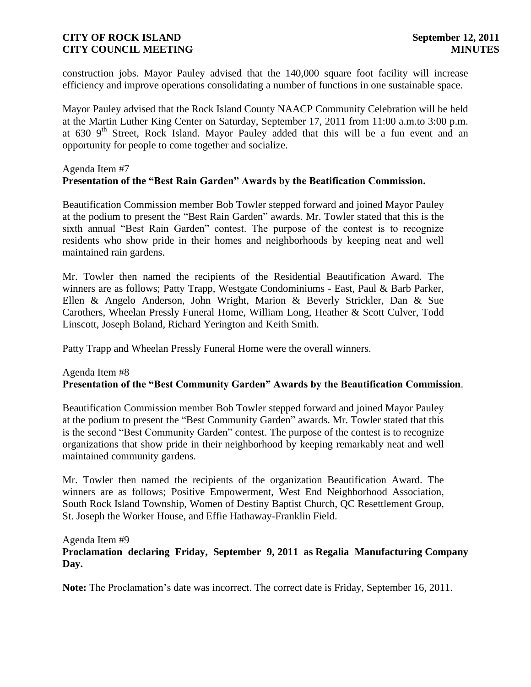construction jobs. Mayor Pauley advised that the 140,000 square foot facility will increase efficiency and improve operations consolidating a number of functions in one sustainable space.

Mayor Pauley advised that the Rock Island County NAACP Community Celebration will be held at the Martin Luther King Center on Saturday, September 17, 2011 from 11:00 a.m.to 3:00 p.m. at 630 9<sup>th</sup> Street, Rock Island. Mayor Pauley added that this will be a fun event and an opportunity for people to come together and socialize.

### Agenda Item #7 **Presentation of the "Best Rain Garden" Awards by the Beatification Commission.**

Beautification Commission member Bob Towler stepped forward and joined Mayor Pauley at the podium to present the "Best Rain Garden" awards. Mr. Towler stated that this is the sixth annual "Best Rain Garden" contest. The purpose of the contest is to recognize residents who show pride in their homes and neighborhoods by keeping neat and well maintained rain gardens.

Mr. Towler then named the recipients of the Residential Beautification Award. The winners are as follows; Patty Trapp, Westgate Condominiums - East, Paul & Barb Parker, Ellen & Angelo Anderson, John Wright, Marion & Beverly Strickler, Dan & Sue Carothers, Wheelan Pressly Funeral Home, William Long, Heather & Scott Culver, Todd Linscott, Joseph Boland, Richard Yerington and Keith Smith.

Patty Trapp and Wheelan Pressly Funeral Home were the overall winners.

# Agenda Item #8 **Presentation of the "Best Community Garden" Awards by the Beautification Commission**.

Beautification Commission member Bob Towler stepped forward and joined Mayor Pauley at the podium to present the "Best Community Garden" awards. Mr. Towler stated that this is the second "Best Community Garden" contest. The purpose of the contest is to recognize organizations that show pride in their neighborhood by keeping remarkably neat and well maintained community gardens.

Mr. Towler then named the recipients of the organization Beautification Award. The winners are as follows; Positive Empowerment, West End Neighborhood Association, South Rock Island Township, Women of Destiny Baptist Church, QC Resettlement Group, St. Joseph the Worker House, and Effie Hathaway-Franklin Field.

### Agenda Item #9

# **Proclamation declaring Friday, September 9, 2011 as Regalia Manufacturing Company Day.**

**Note:** The Proclamation's date was incorrect. The correct date is Friday, September 16, 2011.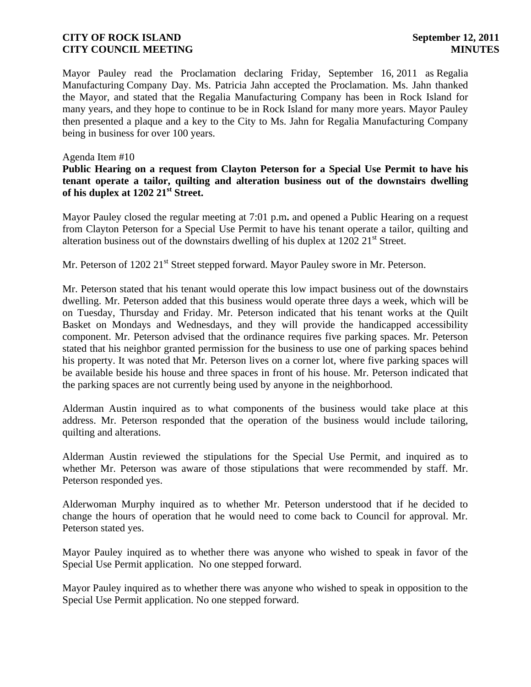Mayor Pauley read the Proclamation declaring Friday, September 16, 2011 as Regalia Manufacturing Company Day. Ms. Patricia Jahn accepted the Proclamation. Ms. Jahn thanked the Mayor, and stated that the Regalia Manufacturing Company has been in Rock Island for many years, and they hope to continue to be in Rock Island for many more years. Mayor Pauley then presented a plaque and a key to the City to Ms. Jahn for Regalia Manufacturing Company being in business for over 100 years.

### Agenda Item #10

**Public Hearing on a request from Clayton Peterson for a Special Use Permit to have his tenant operate a tailor, quilting and alteration business out of the downstairs dwelling of his duplex at 1202 21st Street.**

Mayor Pauley closed the regular meeting at 7:01 p.m**.** and opened a Public Hearing on a request from Clayton Peterson for a Special Use Permit to have his tenant operate a tailor, quilting and alteration business out of the downstairs dwelling of his duplex at  $1202 21<sup>st</sup>$  Street.

Mr. Peterson of 1202 21<sup>st</sup> Street stepped forward. Mayor Pauley swore in Mr. Peterson.

Mr. Peterson stated that his tenant would operate this low impact business out of the downstairs dwelling. Mr. Peterson added that this business would operate three days a week, which will be on Tuesday, Thursday and Friday. Mr. Peterson indicated that his tenant works at the Quilt Basket on Mondays and Wednesdays, and they will provide the handicapped accessibility component. Mr. Peterson advised that the ordinance requires five parking spaces. Mr. Peterson stated that his neighbor granted permission for the business to use one of parking spaces behind his property. It was noted that Mr. Peterson lives on a corner lot, where five parking spaces will be available beside his house and three spaces in front of his house. Mr. Peterson indicated that the parking spaces are not currently being used by anyone in the neighborhood.

Alderman Austin inquired as to what components of the business would take place at this address. Mr. Peterson responded that the operation of the business would include tailoring, quilting and alterations.

Alderman Austin reviewed the stipulations for the Special Use Permit, and inquired as to whether Mr. Peterson was aware of those stipulations that were recommended by staff. Mr. Peterson responded yes.

Alderwoman Murphy inquired as to whether Mr. Peterson understood that if he decided to change the hours of operation that he would need to come back to Council for approval. Mr. Peterson stated yes.

Mayor Pauley inquired as to whether there was anyone who wished to speak in favor of the Special Use Permit application. No one stepped forward.

Mayor Pauley inquired as to whether there was anyone who wished to speak in opposition to the Special Use Permit application. No one stepped forward.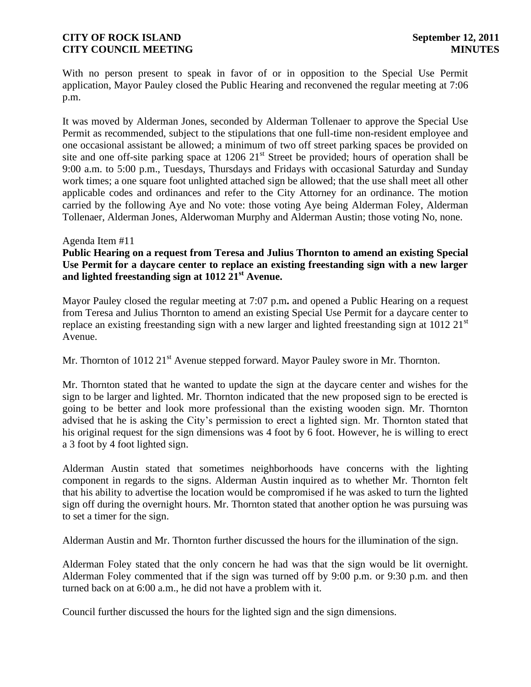With no person present to speak in favor of or in opposition to the Special Use Permit application, Mayor Pauley closed the Public Hearing and reconvened the regular meeting at 7:06 p.m.

It was moved by Alderman Jones, seconded by Alderman Tollenaer to approve the Special Use Permit as recommended, subject to the stipulations that one full-time non-resident employee and one occasional assistant be allowed; a minimum of two off street parking spaces be provided on site and one off-site parking space at  $1206 \ 21<sup>st</sup>$  Street be provided; hours of operation shall be 9:00 a.m. to 5:00 p.m., Tuesdays, Thursdays and Fridays with occasional Saturday and Sunday work times; a one square foot unlighted attached sign be allowed; that the use shall meet all other applicable codes and ordinances and refer to the City Attorney for an ordinance. The motion carried by the following Aye and No vote: those voting Aye being Alderman Foley, Alderman Tollenaer, Alderman Jones, Alderwoman Murphy and Alderman Austin; those voting No, none.

#### Agenda Item #11

**Public Hearing on a request from Teresa and Julius Thornton to amend an existing Special Use Permit for a daycare center to replace an existing freestanding sign with a new larger and lighted freestanding sign at 1012 21st Avenue.**

Mayor Pauley closed the regular meeting at 7:07 p.m**.** and opened a Public Hearing on a request from Teresa and Julius Thornton to amend an existing Special Use Permit for a daycare center to replace an existing freestanding sign with a new larger and lighted freestanding sign at 1012  $21<sup>st</sup>$ Avenue.

Mr. Thornton of 1012 21<sup>st</sup> Avenue stepped forward. Mayor Pauley swore in Mr. Thornton.

Mr. Thornton stated that he wanted to update the sign at the daycare center and wishes for the sign to be larger and lighted. Mr. Thornton indicated that the new proposed sign to be erected is going to be better and look more professional than the existing wooden sign. Mr. Thornton advised that he is asking the City's permission to erect a lighted sign. Mr. Thornton stated that his original request for the sign dimensions was 4 foot by 6 foot. However, he is willing to erect a 3 foot by 4 foot lighted sign.

Alderman Austin stated that sometimes neighborhoods have concerns with the lighting component in regards to the signs. Alderman Austin inquired as to whether Mr. Thornton felt that his ability to advertise the location would be compromised if he was asked to turn the lighted sign off during the overnight hours. Mr. Thornton stated that another option he was pursuing was to set a timer for the sign.

Alderman Austin and Mr. Thornton further discussed the hours for the illumination of the sign.

Alderman Foley stated that the only concern he had was that the sign would be lit overnight. Alderman Foley commented that if the sign was turned off by 9:00 p.m. or 9:30 p.m. and then turned back on at 6:00 a.m., he did not have a problem with it.

Council further discussed the hours for the lighted sign and the sign dimensions.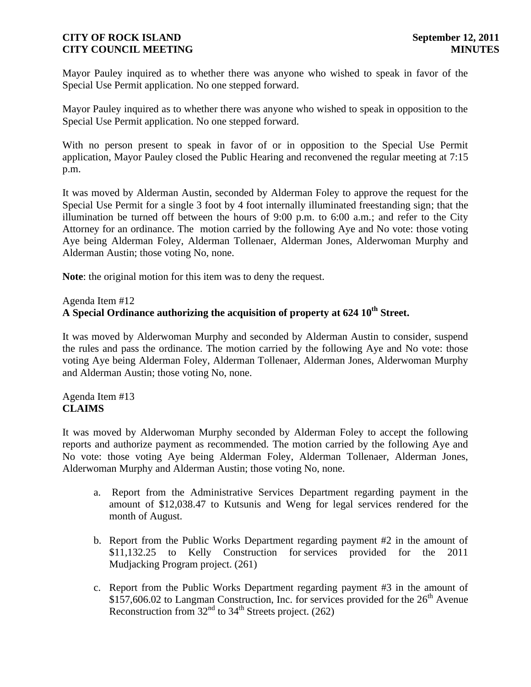Mayor Pauley inquired as to whether there was anyone who wished to speak in favor of the Special Use Permit application. No one stepped forward.

Mayor Pauley inquired as to whether there was anyone who wished to speak in opposition to the Special Use Permit application. No one stepped forward.

With no person present to speak in favor of or in opposition to the Special Use Permit application, Mayor Pauley closed the Public Hearing and reconvened the regular meeting at 7:15 p.m.

It was moved by Alderman Austin, seconded by Alderman Foley to approve the request for the Special Use Permit for a single 3 foot by 4 foot internally illuminated freestanding sign; that the illumination be turned off between the hours of 9:00 p.m. to 6:00 a.m.; and refer to the City Attorney for an ordinance. The motion carried by the following Aye and No vote: those voting Aye being Alderman Foley, Alderman Tollenaer, Alderman Jones, Alderwoman Murphy and Alderman Austin; those voting No, none.

**Note**: the original motion for this item was to deny the request.

### Agenda Item #12

# **A Special Ordinance authorizing the acquisition of property at 624 10th Street.**

It was moved by Alderwoman Murphy and seconded by Alderman Austin to consider, suspend the rules and pass the ordinance. The motion carried by the following Aye and No vote: those voting Aye being Alderman Foley, Alderman Tollenaer, Alderman Jones, Alderwoman Murphy and Alderman Austin; those voting No, none.

### Agenda Item #13 **CLAIMS**

It was moved by Alderwoman Murphy seconded by Alderman Foley to accept the following reports and authorize payment as recommended. The motion carried by the following Aye and No vote: those voting Aye being Alderman Foley, Alderman Tollenaer, Alderman Jones, Alderwoman Murphy and Alderman Austin; those voting No, none.

- a. Report from the Administrative Services Department regarding payment in the amount of \$12,038.47 to Kutsunis and Weng for legal services rendered for the month of August.
- b. Report from the Public Works Department regarding payment #2 in the amount of \$11,132.25 to Kelly Construction for services provided for the 2011 Mudjacking Program project. (261)
- c. Report from the Public Works Department regarding payment #3 in the amount of \$157,606.02 to Langman Construction, Inc. for services provided for the  $26<sup>th</sup>$  Avenue Reconstruction from  $32<sup>nd</sup>$  to  $34<sup>th</sup>$  Streets project. (262)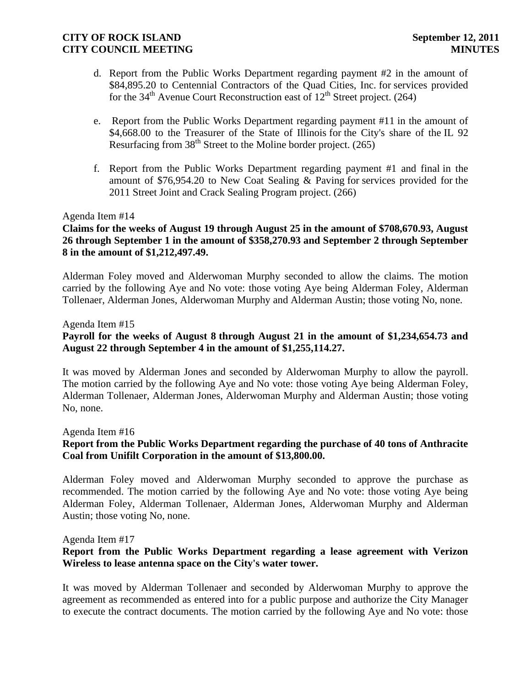- d. Report from the Public Works Department regarding payment #2 in the amount of \$84,895.20 to Centennial Contractors of the Quad Cities, Inc. for services provided for the  $34<sup>th</sup>$  Avenue Court Reconstruction east of  $12<sup>th</sup>$  Street project. (264)
- e. Report from the Public Works Department regarding payment #11 in the amount of \$4,668.00 to the Treasurer of the State of Illinois for the City's share of the IL 92 Resurfacing from  $38<sup>th</sup>$  Street to the Moline border project. (265)
- f. Report from the Public Works Department regarding payment #1 and final in the amount of \$76,954.20 to New Coat Sealing & Paving for services provided for the 2011 Street Joint and Crack Sealing Program project. (266)

### Agenda Item #14

# **Claims for the weeks of August 19 through August 25 in the amount of \$708,670.93, August 26 through September 1 in the amount of \$358,270.93 and September 2 through September 8 in the amount of \$1,212,497.49.**

Alderman Foley moved and Alderwoman Murphy seconded to allow the claims. The motion carried by the following Aye and No vote: those voting Aye being Alderman Foley, Alderman Tollenaer, Alderman Jones, Alderwoman Murphy and Alderman Austin; those voting No, none.

#### Agenda Item #15

# **Payroll for the weeks of August 8 through August 21 in the amount of \$1,234,654.73 and August 22 through September 4 in the amount of \$1,255,114.27.**

It was moved by Alderman Jones and seconded by Alderwoman Murphy to allow the payroll. The motion carried by the following Aye and No vote: those voting Aye being Alderman Foley, Alderman Tollenaer, Alderman Jones, Alderwoman Murphy and Alderman Austin; those voting No, none.

#### Agenda Item #16

# **Report from the Public Works Department regarding the purchase of 40 tons of Anthracite Coal from Unifilt Corporation in the amount of \$13,800.00.**

Alderman Foley moved and Alderwoman Murphy seconded to approve the purchase as recommended. The motion carried by the following Aye and No vote: those voting Aye being Alderman Foley, Alderman Tollenaer, Alderman Jones, Alderwoman Murphy and Alderman Austin; those voting No, none.

#### Agenda Item #17

# **Report from the Public Works Department regarding a lease agreement with Verizon Wireless to lease antenna space on the City's water tower.**

It was moved by Alderman Tollenaer and seconded by Alderwoman Murphy to approve the agreement as recommended as entered into for a public purpose and authorize the City Manager to execute the contract documents. The motion carried by the following Aye and No vote: those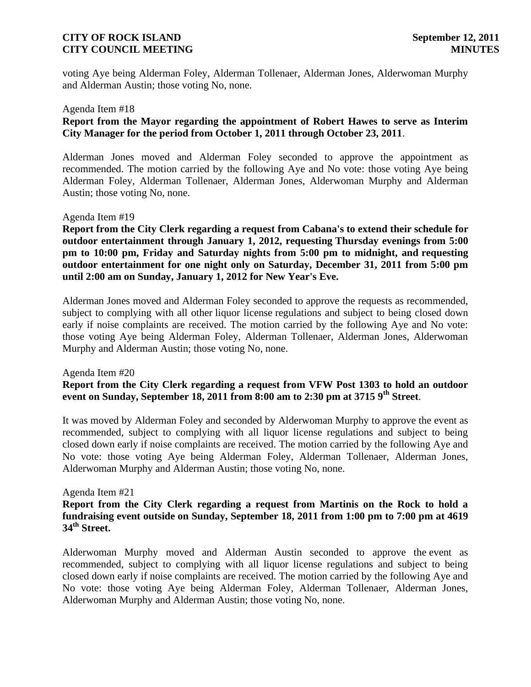voting Aye being Alderman Foley, Alderman Tollenaer, Alderman Jones, Alderwoman Murphy and Alderman Austin; those voting No, none.

#### Agenda Item #18

# **Report from the Mayor regarding the appointment of Robert Hawes to serve as Interim City Manager for the period from October 1, 2011 through October 23, 2011**.

Alderman Jones moved and Alderman Foley seconded to approve the appointment as recommended. The motion carried by the following Aye and No vote: those voting Aye being Alderman Foley, Alderman Tollenaer, Alderman Jones, Alderwoman Murphy and Alderman Austin; those voting No, none.

#### Agenda Item #19

**Report from the City Clerk regarding a request from Cabana's to extend their schedule for outdoor entertainment through January 1, 2012, requesting Thursday evenings from 5:00 pm to 10:00 pm, Friday and Saturday nights from 5:00 pm to midnight, and requesting outdoor entertainment for one night only on Saturday, December 31, 2011 from 5:00 pm until 2:00 am on Sunday, January 1, 2012 for New Year's Eve.**

Alderman Jones moved and Alderman Foley seconded to approve the requests as recommended, subject to complying with all other liquor license regulations and subject to being closed down early if noise complaints are received. The motion carried by the following Aye and No vote: those voting Aye being Alderman Foley, Alderman Tollenaer, Alderman Jones, Alderwoman Murphy and Alderman Austin; those voting No, none.

#### Agenda Item #20

# **Report from the City Clerk regarding a request from VFW Post 1303 to hold an outdoor event on Sunday, September 18, 2011 from 8:00 am to 2:30 pm at 3715 9th Street**.

It was moved by Alderman Foley and seconded by Alderwoman Murphy to approve the event as recommended, subject to complying with all liquor license regulations and subject to being closed down early if noise complaints are received. The motion carried by the following Aye and No vote: those voting Aye being Alderman Foley, Alderman Tollenaer, Alderman Jones, Alderwoman Murphy and Alderman Austin; those voting No, none.

#### Agenda Item #21

# **Report from the City Clerk regarding a request from Martinis on the Rock to hold a fundraising event outside on Sunday, September 18, 2011 from 1:00 pm to 7:00 pm at 4619 34th Street.**

Alderwoman Murphy moved and Alderman Austin seconded to approve the event as recommended, subject to complying with all liquor license regulations and subject to being closed down early if noise complaints are received. The motion carried by the following Aye and No vote: those voting Aye being Alderman Foley, Alderman Tollenaer, Alderman Jones, Alderwoman Murphy and Alderman Austin; those voting No, none.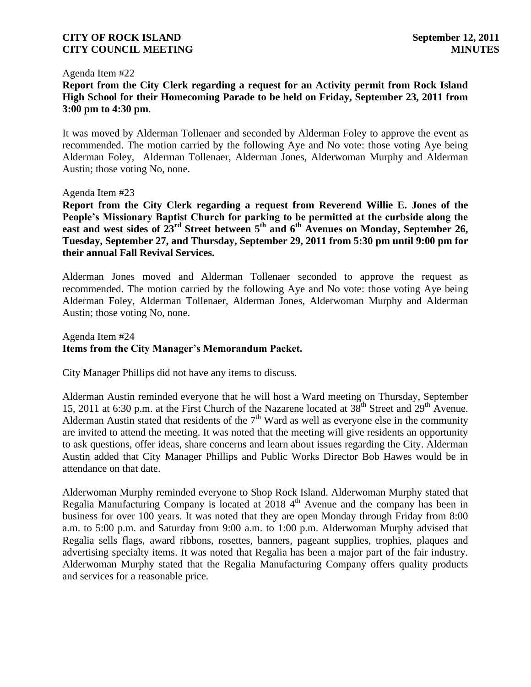#### Agenda Item #22

**Report from the City Clerk regarding a request for an Activity permit from Rock Island High School for their Homecoming Parade to be held on Friday, September 23, 2011 from 3:00 pm to 4:30 pm**.

It was moved by Alderman Tollenaer and seconded by Alderman Foley to approve the event as recommended. The motion carried by the following Aye and No vote: those voting Aye being Alderman Foley, Alderman Tollenaer, Alderman Jones, Alderwoman Murphy and Alderman Austin; those voting No, none.

#### Agenda Item #23

**Report from the City Clerk regarding a request from Reverend Willie E. Jones of the People's Missionary Baptist Church for parking to be permitted at the curbside along the east and west sides of 23rd Street between 5th and 6th Avenues on Monday, September 26, Tuesday, September 27, and Thursday, September 29, 2011 from 5:30 pm until 9:00 pm for their annual Fall Revival Services.**

Alderman Jones moved and Alderman Tollenaer seconded to approve the request as recommended. The motion carried by the following Aye and No vote: those voting Aye being Alderman Foley, Alderman Tollenaer, Alderman Jones, Alderwoman Murphy and Alderman Austin; those voting No, none.

# Agenda Item #24 **Items from the City Manager's Memorandum Packet.**

City Manager Phillips did not have any items to discuss.

Alderman Austin reminded everyone that he will host a Ward meeting on Thursday, September 15, 2011 at 6:30 p.m. at the First Church of the Nazarene located at  $38<sup>th</sup>$  Street and  $29<sup>th</sup>$  Avenue. Alderman Austin stated that residents of the  $7<sup>th</sup>$  Ward as well as everyone else in the community are invited to attend the meeting. It was noted that the meeting will give residents an opportunity to ask questions, offer ideas, share concerns and learn about issues regarding the City. Alderman Austin added that City Manager Phillips and Public Works Director Bob Hawes would be in attendance on that date.

Alderwoman Murphy reminded everyone to Shop Rock Island. Alderwoman Murphy stated that Regalia Manufacturing Company is located at  $20184<sup>th</sup>$  Avenue and the company has been in business for over 100 years. It was noted that they are open Monday through Friday from 8:00 a.m. to 5:00 p.m. and Saturday from 9:00 a.m. to 1:00 p.m. Alderwoman Murphy advised that Regalia sells flags, award ribbons, rosettes, banners, pageant supplies, trophies, plaques and advertising specialty items. It was noted that Regalia has been a major part of the fair industry. Alderwoman Murphy stated that the Regalia Manufacturing Company offers quality products and services for a reasonable price.